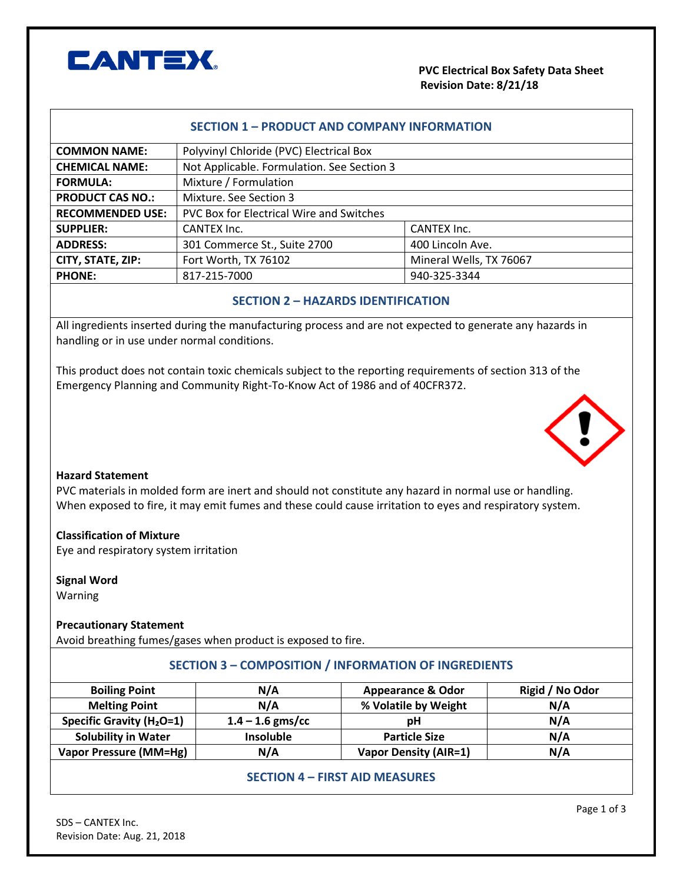

## **PVC Electrical Box Safety Data Sheet Revision Date: 8/21/18**

#### **SECTION 1 – PRODUCT AND COMPANY INFORMATION**

| <b>COMMON NAME:</b>     | Polyvinyl Chloride (PVC) Electrical Box    |                         |  |
|-------------------------|--------------------------------------------|-------------------------|--|
| <b>CHEMICAL NAME:</b>   | Not Applicable. Formulation. See Section 3 |                         |  |
| <b>FORMULA:</b>         | Mixture / Formulation                      |                         |  |
| <b>PRODUCT CAS NO.:</b> | Mixture. See Section 3                     |                         |  |
| <b>RECOMMENDED USE:</b> | PVC Box for Electrical Wire and Switches   |                         |  |
| <b>SUPPLIER:</b>        | CANTEX Inc.                                | CANTEX Inc.             |  |
| <b>ADDRESS:</b>         | 301 Commerce St., Suite 2700               | 400 Lincoln Ave.        |  |
| CITY, STATE, ZIP:       | Fort Worth, TX 76102                       | Mineral Wells, TX 76067 |  |
| <b>PHONE:</b>           | 817-215-7000                               | 940-325-3344            |  |

### **SECTION 2 – HAZARDS IDENTIFICATION**

All ingredients inserted during the manufacturing process and are not expected to generate any hazards in handling or in use under normal conditions.

This product does not contain toxic chemicals subject to the reporting requirements of section 313 of the Emergency Planning and Community Right-To-Know Act of 1986 and of 40CFR372.



#### **Hazard Statement**

PVC materials in molded form are inert and should not constitute any hazard in normal use or handling. When exposed to fire, it may emit fumes and these could cause irritation to eyes and respiratory system.

#### **Classification of Mixture**

Eye and respiratory system irritation

**Signal Word**  Warning

# **Precautionary Statement**

Avoid breathing fumes/gases when product is exposed to fire.

### **SECTION 3 – COMPOSITION / INFORMATION OF INGREDIENTS**

| <b>Boiling Point</b>                  | N/A                | <b>Appearance &amp; Odor</b> | Rigid / No Odor |
|---------------------------------------|--------------------|------------------------------|-----------------|
| <b>Melting Point</b>                  | N/A                | % Volatile by Weight         | N/A             |
| Specific Gravity (H <sub>2</sub> O=1) | $1.4 - 1.6$ gms/cc | рH                           | N/A             |
| <b>Solubility in Water</b>            | <b>Insoluble</b>   | <b>Particle Size</b>         | N/A             |
| Vapor Pressure (MM=Hg)                | N/A                | <b>Vapor Density (AIR=1)</b> | N/A             |

# **SECTION 4 – FIRST AID MEASURES**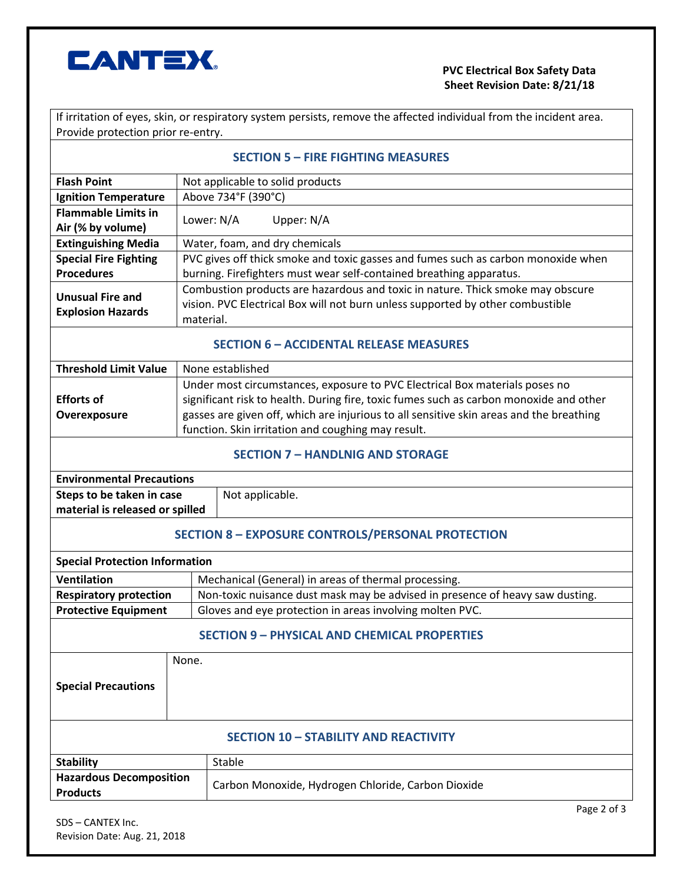

## **PVC Electrical Box Safety Data Sheet Revision Date: 8/21/18**

If irritation of eyes, skin, or respiratory system persists, remove the affected individual from the incident area. Provide protection prior re-entry.

| Provide protection prior re-entry.                                                                                                                                                                                                                                                                                     |                                                                                                                                                                  |  |  |  |
|------------------------------------------------------------------------------------------------------------------------------------------------------------------------------------------------------------------------------------------------------------------------------------------------------------------------|------------------------------------------------------------------------------------------------------------------------------------------------------------------|--|--|--|
|                                                                                                                                                                                                                                                                                                                        | <b>SECTION 5 - FIRE FIGHTING MEASURES</b>                                                                                                                        |  |  |  |
| Not applicable to solid products                                                                                                                                                                                                                                                                                       |                                                                                                                                                                  |  |  |  |
|                                                                                                                                                                                                                                                                                                                        | Above 734°F (390°C)                                                                                                                                              |  |  |  |
| Lower: N/A                                                                                                                                                                                                                                                                                                             | Upper: N/A                                                                                                                                                       |  |  |  |
|                                                                                                                                                                                                                                                                                                                        | Water, foam, and dry chemicals                                                                                                                                   |  |  |  |
|                                                                                                                                                                                                                                                                                                                        | PVC gives off thick smoke and toxic gasses and fumes such as carbon monoxide when<br>burning. Firefighters must wear self-contained breathing apparatus.         |  |  |  |
| material.                                                                                                                                                                                                                                                                                                              | Combustion products are hazardous and toxic in nature. Thick smoke may obscure<br>vision. PVC Electrical Box will not burn unless supported by other combustible |  |  |  |
| <b>SECTION 6 - ACCIDENTAL RELEASE MEASURES</b>                                                                                                                                                                                                                                                                         |                                                                                                                                                                  |  |  |  |
|                                                                                                                                                                                                                                                                                                                        | None established                                                                                                                                                 |  |  |  |
| Under most circumstances, exposure to PVC Electrical Box materials poses no<br>significant risk to health. During fire, toxic fumes such as carbon monoxide and other<br>gasses are given off, which are injurious to all sensitive skin areas and the breathing<br>function. Skin irritation and coughing may result. |                                                                                                                                                                  |  |  |  |
| <b>SECTION 7 - HANDLNIG AND STORAGE</b>                                                                                                                                                                                                                                                                                |                                                                                                                                                                  |  |  |  |
| <b>Environmental Precautions</b>                                                                                                                                                                                                                                                                                       |                                                                                                                                                                  |  |  |  |
| Steps to be taken in case<br>material is released or spilled                                                                                                                                                                                                                                                           | Not applicable.                                                                                                                                                  |  |  |  |
| <b>SECTION 8 - EXPOSURE CONTROLS/PERSONAL PROTECTION</b>                                                                                                                                                                                                                                                               |                                                                                                                                                                  |  |  |  |
| <b>Special Protection Information</b>                                                                                                                                                                                                                                                                                  |                                                                                                                                                                  |  |  |  |
|                                                                                                                                                                                                                                                                                                                        | Mechanical (General) in areas of thermal processing.                                                                                                             |  |  |  |
|                                                                                                                                                                                                                                                                                                                        | Non-toxic nuisance dust mask may be advised in presence of heavy saw dusting.                                                                                    |  |  |  |
|                                                                                                                                                                                                                                                                                                                        | Gloves and eye protection in areas involving molten PVC.                                                                                                         |  |  |  |
| <b>SECTION 9 - PHYSICAL AND CHEMICAL PROPERTIES</b>                                                                                                                                                                                                                                                                    |                                                                                                                                                                  |  |  |  |
| None.                                                                                                                                                                                                                                                                                                                  |                                                                                                                                                                  |  |  |  |
|                                                                                                                                                                                                                                                                                                                        |                                                                                                                                                                  |  |  |  |

### **SECTION 10 – STABILITY AND REACTIVITY**

| <b>Stability</b>               | Stable                                             |  |
|--------------------------------|----------------------------------------------------|--|
| <b>Hazardous Decomposition</b> | Carbon Monoxide, Hydrogen Chloride, Carbon Dioxide |  |
| <b>Products</b>                |                                                    |  |